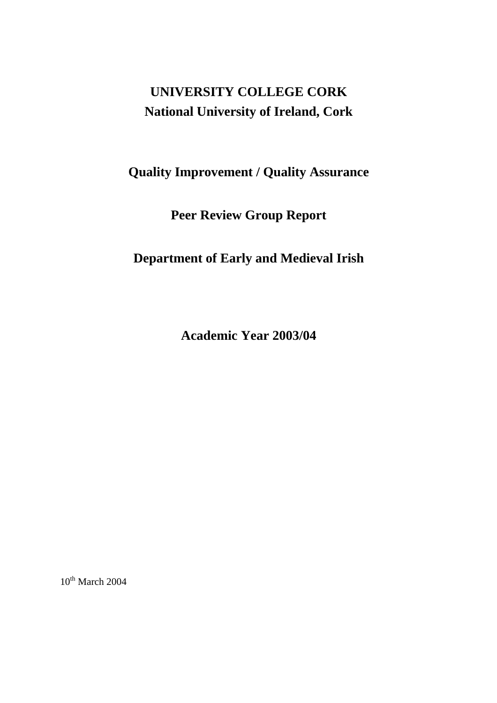# **UNIVERSITY COLLEGE CORK National University of Ireland, Cork**

# **Quality Improvement / Quality Assurance**

**Peer Review Group Report** 

**Department of Early and Medieval Irish** 

**Academic Year 2003/04** 

 $10^{th}$  March 2004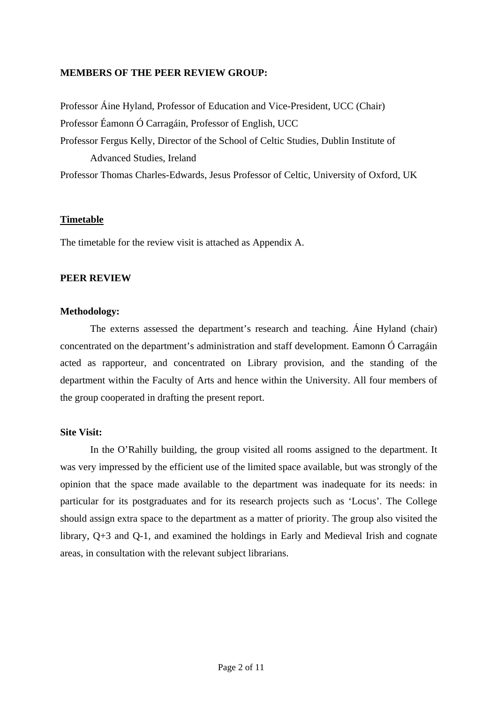## **MEMBERS OF THE PEER REVIEW GROUP:**

Professor Áine Hyland, Professor of Education and Vice-President, UCC (Chair) Professor Éamonn Ó Carragáin, Professor of English, UCC Professor Fergus Kelly, Director of the School of Celtic Studies, Dublin Institute of Advanced Studies, Ireland Professor Thomas Charles-Edwards, Jesus Professor of Celtic, University of Oxford, UK

## **Timetable**

The timetable for the review visit is attached as Appendix A.

## **PEER REVIEW**

#### **Methodology:**

 The externs assessed the department's research and teaching. Áine Hyland (chair) concentrated on the department's administration and staff development. Eamonn Ó Carragáin acted as rapporteur, and concentrated on Library provision, and the standing of the department within the Faculty of Arts and hence within the University. All four members of the group cooperated in drafting the present report.

#### **Site Visit:**

 In the O'Rahilly building, the group visited all rooms assigned to the department. It was very impressed by the efficient use of the limited space available, but was strongly of the opinion that the space made available to the department was inadequate for its needs: in particular for its postgraduates and for its research projects such as 'Locus'. The College should assign extra space to the department as a matter of priority. The group also visited the library, Q+3 and Q-1, and examined the holdings in Early and Medieval Irish and cognate areas, in consultation with the relevant subject librarians.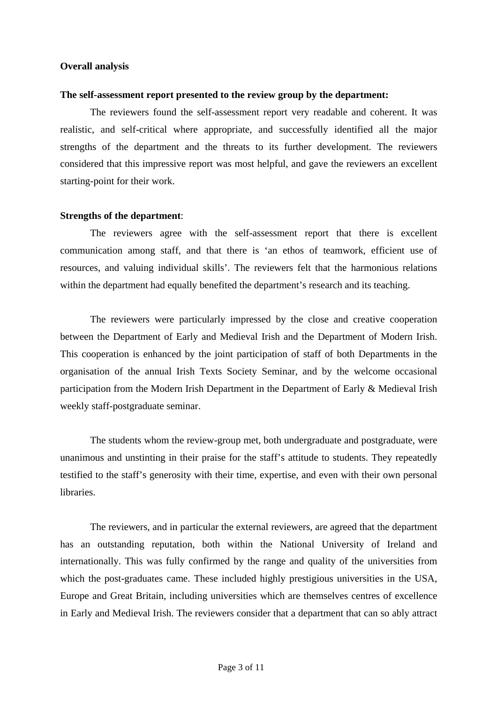#### **Overall analysis**

#### **The self-assessment report presented to the review group by the department:**

 The reviewers found the self-assessment report very readable and coherent. It was realistic, and self-critical where appropriate, and successfully identified all the major strengths of the department and the threats to its further development. The reviewers considered that this impressive report was most helpful, and gave the reviewers an excellent starting-point for their work.

#### **Strengths of the department**:

 The reviewers agree with the self-assessment report that there is excellent communication among staff, and that there is 'an ethos of teamwork, efficient use of resources, and valuing individual skills'. The reviewers felt that the harmonious relations within the department had equally benefited the department's research and its teaching.

 The reviewers were particularly impressed by the close and creative cooperation between the Department of Early and Medieval Irish and the Department of Modern Irish. This cooperation is enhanced by the joint participation of staff of both Departments in the organisation of the annual Irish Texts Society Seminar, and by the welcome occasional participation from the Modern Irish Department in the Department of Early & Medieval Irish weekly staff-postgraduate seminar.

 The students whom the review-group met, both undergraduate and postgraduate, were unanimous and unstinting in their praise for the staff's attitude to students. They repeatedly testified to the staff's generosity with their time, expertise, and even with their own personal libraries.

 The reviewers, and in particular the external reviewers, are agreed that the department has an outstanding reputation, both within the National University of Ireland and internationally. This was fully confirmed by the range and quality of the universities from which the post-graduates came. These included highly prestigious universities in the USA, Europe and Great Britain, including universities which are themselves centres of excellence in Early and Medieval Irish. The reviewers consider that a department that can so ably attract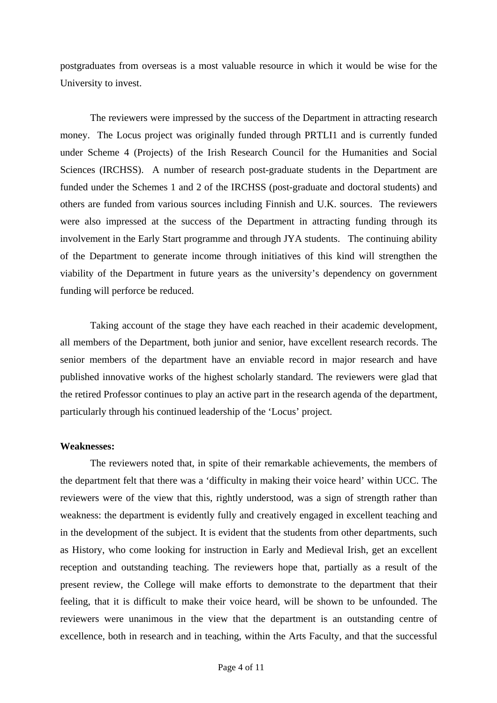postgraduates from overseas is a most valuable resource in which it would be wise for the University to invest.

 The reviewers were impressed by the success of the Department in attracting research money. The Locus project was originally funded through PRTLI1 and is currently funded under Scheme 4 (Projects) of the Irish Research Council for the Humanities and Social Sciences (IRCHSS). A number of research post-graduate students in the Department are funded under the Schemes 1 and 2 of the IRCHSS (post-graduate and doctoral students) and others are funded from various sources including Finnish and U.K. sources. The reviewers were also impressed at the success of the Department in attracting funding through its involvement in the Early Start programme and through JYA students. The continuing ability of the Department to generate income through initiatives of this kind will strengthen the viability of the Department in future years as the university's dependency on government funding will perforce be reduced.

 Taking account of the stage they have each reached in their academic development, all members of the Department, both junior and senior, have excellent research records. The senior members of the department have an enviable record in major research and have published innovative works of the highest scholarly standard. The reviewers were glad that the retired Professor continues to play an active part in the research agenda of the department, particularly through his continued leadership of the 'Locus' project.

#### **Weaknesses:**

 The reviewers noted that, in spite of their remarkable achievements, the members of the department felt that there was a 'difficulty in making their voice heard' within UCC. The reviewers were of the view that this, rightly understood, was a sign of strength rather than weakness: the department is evidently fully and creatively engaged in excellent teaching and in the development of the subject. It is evident that the students from other departments, such as History, who come looking for instruction in Early and Medieval Irish, get an excellent reception and outstanding teaching. The reviewers hope that, partially as a result of the present review, the College will make efforts to demonstrate to the department that their feeling, that it is difficult to make their voice heard, will be shown to be unfounded. The reviewers were unanimous in the view that the department is an outstanding centre of excellence, both in research and in teaching, within the Arts Faculty, and that the successful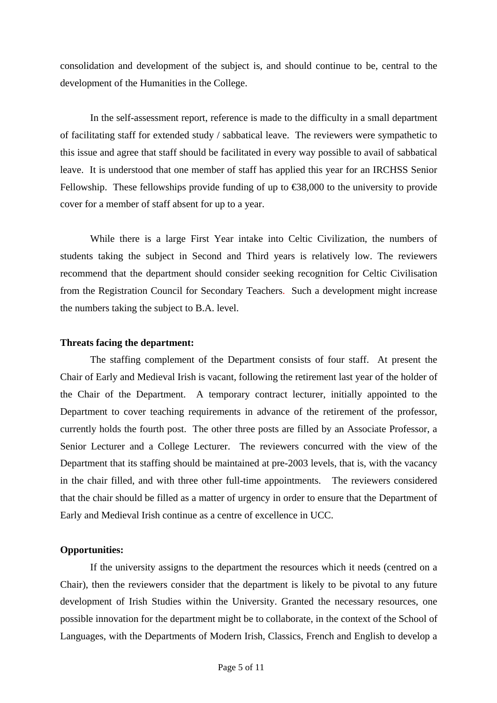consolidation and development of the subject is, and should continue to be, central to the development of the Humanities in the College.

 In the self-assessment report, reference is made to the difficulty in a small department of facilitating staff for extended study / sabbatical leave. The reviewers were sympathetic to this issue and agree that staff should be facilitated in every way possible to avail of sabbatical leave. It is understood that one member of staff has applied this year for an IRCHSS Senior Fellowship. These fellowships provide funding of up to  $\text{\textsterling}88,000$  to the university to provide cover for a member of staff absent for up to a year.

 While there is a large First Year intake into Celtic Civilization, the numbers of students taking the subject in Second and Third years is relatively low. The reviewers recommend that the department should consider seeking recognition for Celtic Civilisation from the Registration Council for Secondary Teachers. Such a development might increase the numbers taking the subject to B.A. level.

### **Threats facing the department:**

The staffing complement of the Department consists of four staff. At present the Chair of Early and Medieval Irish is vacant, following the retirement last year of the holder of the Chair of the Department. A temporary contract lecturer, initially appointed to the Department to cover teaching requirements in advance of the retirement of the professor, currently holds the fourth post. The other three posts are filled by an Associate Professor, a Senior Lecturer and a College Lecturer. The reviewers concurred with the view of the Department that its staffing should be maintained at pre-2003 levels, that is, with the vacancy in the chair filled, and with three other full-time appointments. The reviewers considered that the chair should be filled as a matter of urgency in order to ensure that the Department of Early and Medieval Irish continue as a centre of excellence in UCC.

## **Opportunities:**

If the university assigns to the department the resources which it needs (centred on a Chair), then the reviewers consider that the department is likely to be pivotal to any future development of Irish Studies within the University. Granted the necessary resources, one possible innovation for the department might be to collaborate, in the context of the School of Languages, with the Departments of Modern Irish, Classics, French and English to develop a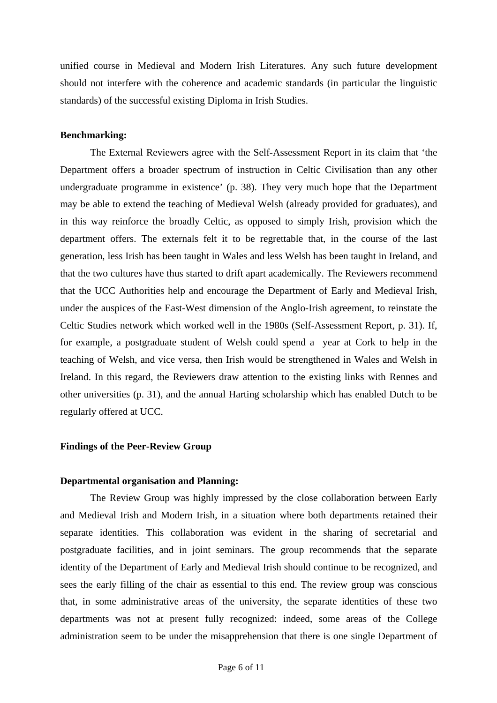unified course in Medieval and Modern Irish Literatures. Any such future development should not interfere with the coherence and academic standards (in particular the linguistic standards) of the successful existing Diploma in Irish Studies.

## **Benchmarking:**

 The External Reviewers agree with the Self-Assessment Report in its claim that 'the Department offers a broader spectrum of instruction in Celtic Civilisation than any other undergraduate programme in existence' (p. 38). They very much hope that the Department may be able to extend the teaching of Medieval Welsh (already provided for graduates), and in this way reinforce the broadly Celtic, as opposed to simply Irish, provision which the department offers. The externals felt it to be regrettable that, in the course of the last generation, less Irish has been taught in Wales and less Welsh has been taught in Ireland, and that the two cultures have thus started to drift apart academically. The Reviewers recommend that the UCC Authorities help and encourage the Department of Early and Medieval Irish, under the auspices of the East-West dimension of the Anglo-Irish agreement, to reinstate the Celtic Studies network which worked well in the 1980s (Self-Assessment Report, p. 31). If, for example, a postgraduate student of Welsh could spend a year at Cork to help in the teaching of Welsh, and vice versa, then Irish would be strengthened in Wales and Welsh in Ireland. In this regard, the Reviewers draw attention to the existing links with Rennes and other universities (p. 31), and the annual Harting scholarship which has enabled Dutch to be regularly offered at UCC.

## **Findings of the Peer-Review Group**

#### **Departmental organisation and Planning:**

 The Review Group was highly impressed by the close collaboration between Early and Medieval Irish and Modern Irish, in a situation where both departments retained their separate identities. This collaboration was evident in the sharing of secretarial and postgraduate facilities, and in joint seminars. The group recommends that the separate identity of the Department of Early and Medieval Irish should continue to be recognized, and sees the early filling of the chair as essential to this end. The review group was conscious that, in some administrative areas of the university, the separate identities of these two departments was not at present fully recognized: indeed, some areas of the College administration seem to be under the misapprehension that there is one single Department of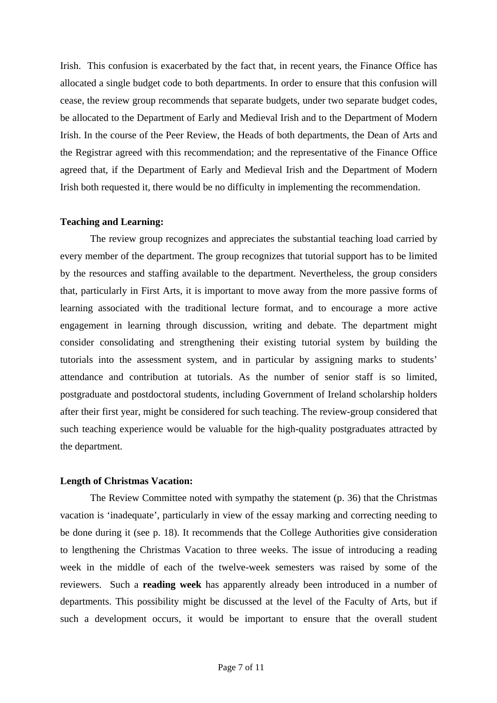Irish. This confusion is exacerbated by the fact that, in recent years, the Finance Office has allocated a single budget code to both departments. In order to ensure that this confusion will cease, the review group recommends that separate budgets, under two separate budget codes, be allocated to the Department of Early and Medieval Irish and to the Department of Modern Irish. In the course of the Peer Review, the Heads of both departments, the Dean of Arts and the Registrar agreed with this recommendation; and the representative of the Finance Office agreed that, if the Department of Early and Medieval Irish and the Department of Modern Irish both requested it, there would be no difficulty in implementing the recommendation.

## **Teaching and Learning:**

 The review group recognizes and appreciates the substantial teaching load carried by every member of the department. The group recognizes that tutorial support has to be limited by the resources and staffing available to the department. Nevertheless, the group considers that, particularly in First Arts, it is important to move away from the more passive forms of learning associated with the traditional lecture format, and to encourage a more active engagement in learning through discussion, writing and debate. The department might consider consolidating and strengthening their existing tutorial system by building the tutorials into the assessment system, and in particular by assigning marks to students' attendance and contribution at tutorials. As the number of senior staff is so limited, postgraduate and postdoctoral students, including Government of Ireland scholarship holders after their first year, might be considered for such teaching. The review-group considered that such teaching experience would be valuable for the high-quality postgraduates attracted by the department.

## **Length of Christmas Vacation:**

 The Review Committee noted with sympathy the statement (p. 36) that the Christmas vacation is 'inadequate', particularly in view of the essay marking and correcting needing to be done during it (see p. 18). It recommends that the College Authorities give consideration to lengthening the Christmas Vacation to three weeks. The issue of introducing a reading week in the middle of each of the twelve-week semesters was raised by some of the reviewers. Such a **reading week** has apparently already been introduced in a number of departments. This possibility might be discussed at the level of the Faculty of Arts, but if such a development occurs, it would be important to ensure that the overall student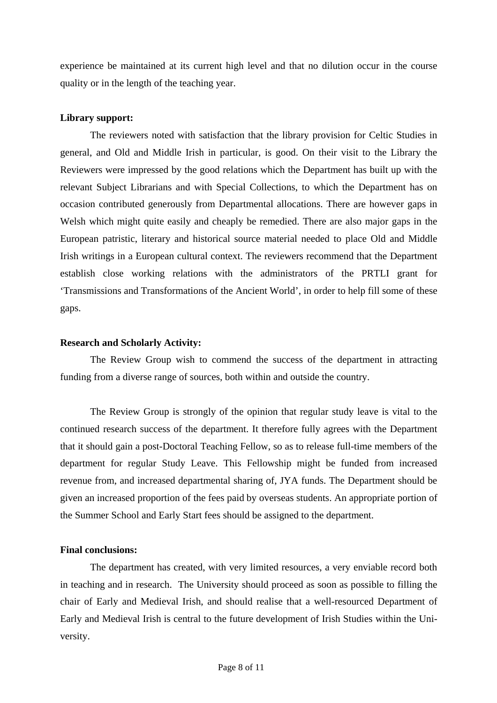experience be maintained at its current high level and that no dilution occur in the course quality or in the length of the teaching year.

## **Library support:**

The reviewers noted with satisfaction that the library provision for Celtic Studies in general, and Old and Middle Irish in particular, is good. On their visit to the Library the Reviewers were impressed by the good relations which the Department has built up with the relevant Subject Librarians and with Special Collections, to which the Department has on occasion contributed generously from Departmental allocations. There are however gaps in Welsh which might quite easily and cheaply be remedied. There are also major gaps in the European patristic, literary and historical source material needed to place Old and Middle Irish writings in a European cultural context. The reviewers recommend that the Department establish close working relations with the administrators of the PRTLI grant for 'Transmissions and Transformations of the Ancient World', in order to help fill some of these gaps.

## **Research and Scholarly Activity:**

 The Review Group wish to commend the success of the department in attracting funding from a diverse range of sources, both within and outside the country.

 The Review Group is strongly of the opinion that regular study leave is vital to the continued research success of the department. It therefore fully agrees with the Department that it should gain a post-Doctoral Teaching Fellow, so as to release full-time members of the department for regular Study Leave. This Fellowship might be funded from increased revenue from, and increased departmental sharing of, JYA funds. The Department should be given an increased proportion of the fees paid by overseas students. An appropriate portion of the Summer School and Early Start fees should be assigned to the department.

## **Final conclusions:**

The department has created, with very limited resources, a very enviable record both in teaching and in research. The University should proceed as soon as possible to filling the chair of Early and Medieval Irish, and should realise that a well-resourced Department of Early and Medieval Irish is central to the future development of Irish Studies within the University.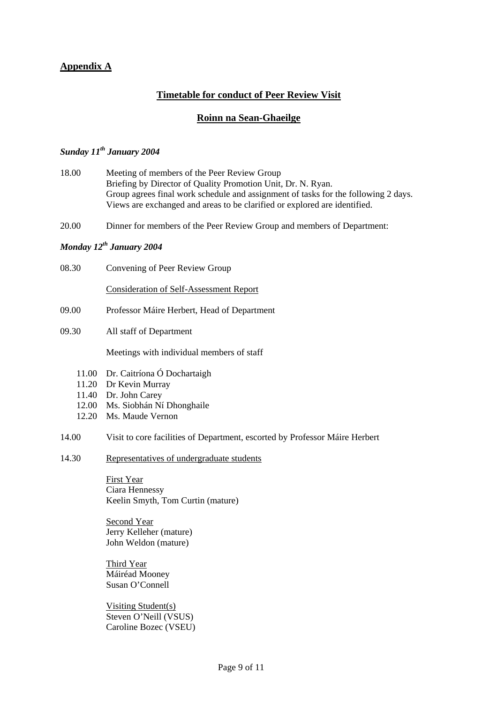## **Appendix A**

## **Timetable for conduct of Peer Review Visit**

## **Roinn na Sean-Ghaeilge**

## *Sunday 11th January 2004*

- 18.00 Meeting of members of the Peer Review Group Briefing by Director of Quality Promotion Unit, Dr. N. Ryan. Group agrees final work schedule and assignment of tasks for the following 2 days. Views are exchanged and areas to be clarified or explored are identified.
- 20.00 Dinner for members of the Peer Review Group and members of Department:

## *Monday 12th January 2004*

08.30 Convening of Peer Review Group

Consideration of Self-Assessment Report

- 09.00 Professor Máire Herbert, Head of Department
- 09.30 All staff of Department

Meetings with individual members of staff

- 11.00 Dr. Caitríona Ó Dochartaigh
- 11.20 Dr Kevin Murray
- 11.40 Dr. John Carey
- 12.00 Ms. Siobhán Ní Dhonghaile
- 12.20 Ms. Maude Vernon
- 14.00 Visit to core facilities of Department, escorted by Professor Máire Herbert
- 14.30 Representatives of undergraduate students

First Year Ciara Hennessy Keelin Smyth, Tom Curtin (mature)

Second Year Jerry Kelleher (mature) John Weldon (mature)

Third Year Máiréad Mooney Susan O'Connell

Visiting Student(s) Steven O'Neill (VSUS) Caroline Bozec (VSEU)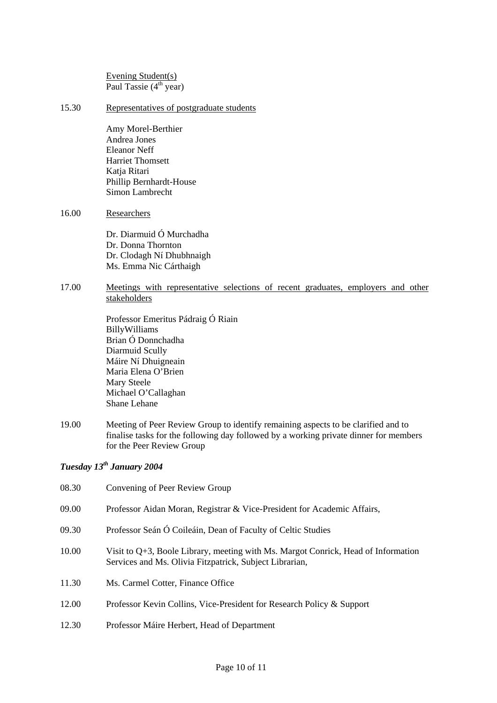Evening Student(s) Paul Tassie  $(4<sup>th</sup>$  year)

15.30 Representatives of postgraduate students

Amy Morel-Berthier Andrea Jones Eleanor Neff Harriet Thomsett Katja Ritari Phillip Bernhardt-House Simon Lambrecht

#### 16.00 Researchers

Dr. Diarmuid Ó Murchadha Dr. Donna Thornton Dr. Clodagh Ní Dhubhnaigh Ms. Emma Nic Cárthaigh

## 17.00 Meetings with representative selections of recent graduates, employers and other stakeholders

Professor Emeritus Pádraig Ó Riain BillyWilliams Brian Ó Donnchadha Diarmuid Scully Máire Ní Dhuigneain Maria Elena O'Brien Mary Steele Michael O'Callaghan Shane Lehane

19.00 Meeting of Peer Review Group to identify remaining aspects to be clarified and to finalise tasks for the following day followed by a working private dinner for members for the Peer Review Group

# *Tuesday 13th January 2004*

| 08.30 | Convening of Peer Review Group                                                                                                                  |
|-------|-------------------------------------------------------------------------------------------------------------------------------------------------|
| 09.00 | Professor Aidan Moran, Registrar & Vice-President for Academic Affairs,                                                                         |
| 09.30 | Professor Seán Ó Coileáin, Dean of Faculty of Celtic Studies                                                                                    |
| 10.00 | Visit to $Q+3$ , Boole Library, meeting with Ms. Margot Conrick, Head of Information<br>Services and Ms. Olivia Fitzpatrick, Subject Librarian, |
| 11.30 | Ms. Carmel Cotter, Finance Office                                                                                                               |
| 12.00 | Professor Kevin Collins, Vice-President for Research Policy & Support                                                                           |
| 12.30 | Professor Máire Herbert, Head of Department                                                                                                     |